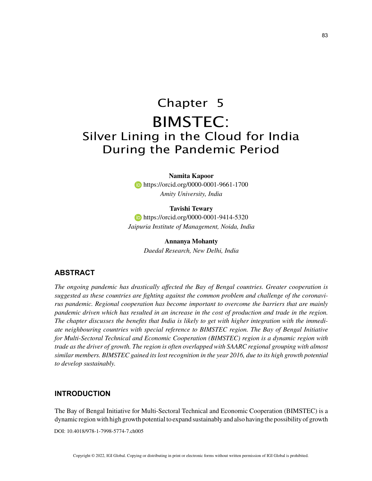# Chapter 5 BIMSTEC: Silver Lining in the Cloud for India During the Pandemic Period

**Namita Kapoor https://orcid.org/0000-0001-9661-1700** *Amity University, India*

**Tavishi Tewary https://orcid.org/0000-0001-9414-5320** *Jaipuria Institute of Management, Noida, India*

> **Annanya Mohanty** *Daedal Research, New Delhi, India*

## **ABSTRACT**

*The ongoing pandemic has drastically affected the Bay of Bengal countries. Greater cooperation is suggested as these countries are fighting against the common problem and challenge of the coronavirus pandemic. Regional cooperation has become important to overcome the barriers that are mainly pandemic driven which has resulted in an increase in the cost of production and trade in the region. The chapter discusses the benefits that India is likely to get with higher integration with the immediate neighbouring countries with special reference to BIMSTEC region. The Bay of Bengal Initiative for Multi-Sectoral Technical and Economic Cooperation (BIMSTEC) region is a dynamic region with trade as the driver of growth. The region is often overlapped with SAARC regional grouping with almost similar members. BIMSTEC gained its lost recognition in the year 2016, due to its high growth potential to develop sustainably.*

## **INTRODUCTION**

The Bay of Bengal Initiative for Multi-Sectoral Technical and Economic Cooperation (BIMSTEC) is a dynamic region with high growth potential to expand sustainably and also having the possibility of growth

DOI: 10.4018/978-1-7998-5774-7.ch005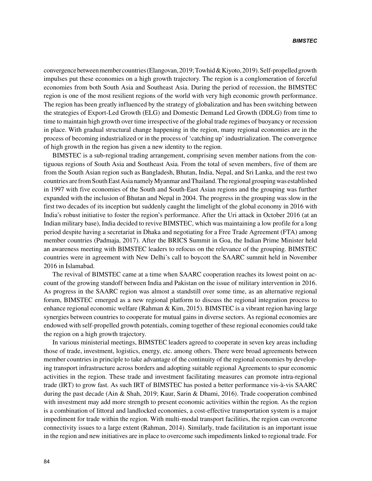convergence between member countries (Elangovan, 2019; Towhid & Kiyoto, 2019). Self-propelled growth impulses put these economies on a high growth trajectory. The region is a conglomeration of forceful economies from both South Asia and Southeast Asia. During the period of recession, the BIMSTEC region is one of the most resilient regions of the world with very high economic growth performance. The region has been greatly influenced by the strategy of globalization and has been switching between the strategies of Export-Led Growth (ELG) and Domestic Demand Led Growth (DDLG) from time to time to maintain high growth over time irrespective of the global trade regimes of buoyancy or recession in place. With gradual structural change happening in the region, many regional economies are in the process of becoming industrialized or in the process of 'catching up' industrialization. The convergence of high growth in the region has given a new identity to the region.

BIMSTEC is a sub-regional trading arrangement, comprising seven member nations from the contiguous regions of South Asia and Southeast Asia. From the total of seven members, five of them are from the South Asian region such as Bangladesh, Bhutan, India, Nepal, and Sri Lanka, and the rest two countries are from South East Asia namely Myanmar and Thailand. The regional grouping was established in 1997 with five economies of the South and South-East Asian regions and the grouping was further expanded with the inclusion of Bhutan and Nepal in 2004. The progress in the grouping was slow in the first two decades of its inception but suddenly caught the limelight of the global economy in 2016 with India's robust initiative to foster the region's performance. After the Uri attack in October 2016 (at an Indian military base), India decided to revive BIMSTEC, which was maintaining a low profile for a long period despite having a secretariat in Dhaka and negotiating for a Free Trade Agreement (FTA) among member countries (Padmaja, 2017). After the BRICS Summit in Goa, the Indian Prime Minister held an awareness meeting with BIMSTEC leaders to refocus on the relevance of the grouping. BIMSTEC countries were in agreement with New Delhi's call to boycott the SAARC summit held in November 2016 in Islamabad.

The revival of BIMSTEC came at a time when SAARC cooperation reaches its lowest point on account of the growing standoff between India and Pakistan on the issue of military intervention in 2016. As progress in the SAARC region was almost a standstill over some time, as an alternative regional forum, BIMSTEC emerged as a new regional platform to discuss the regional integration process to enhance regional economic welfare (Rahman & Kim, 2015). BIMSTEC is a vibrant region having large synergies between countries to cooperate for mutual gains in diverse sectors. As regional economies are endowed with self-propelled growth potentials, coming together of these regional economies could take the region on a high growth trajectory.

In various ministerial meetings, BIMSTEC leaders agreed to cooperate in seven key areas including those of trade, investment, logistics, energy, etc. among others. There were broad agreements between member countries in principle to take advantage of the continuity of the regional economies by developing transport infrastructure across borders and adopting suitable regional Agreements to spur economic activities in the region. These trade and investment facilitating measures can promote intra-regional trade (IRT) to grow fast. As such IRT of BIMSTEC has posted a better performance vis-à-vis SAARC during the past decade (Ain & Shah, 2019; Kaur, Sarin & Dhami, 2016). Trade cooperation combined with investment may add more strength to present economic activities within the region. As the region is a combination of littoral and landlocked economies, a cost-effective transportation system is a major impediment for trade within the region. With multi-modal transport facilities, the region can overcome connectivity issues to a large extent (Rahman, 2014). Similarly, trade facilitation is an important issue in the region and new initiatives are in place to overcome such impediments linked to regional trade. For